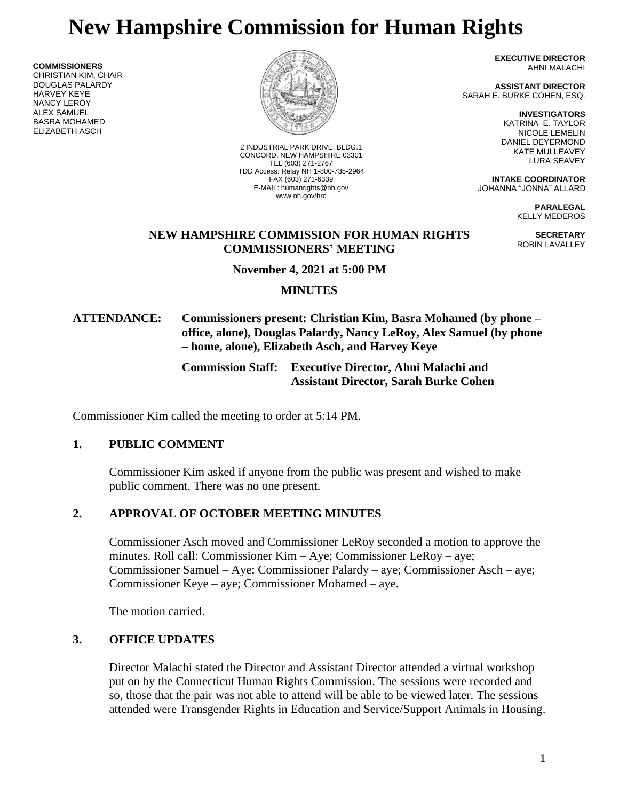# **New Hampshire Commission for Human Rights**

**COMMISSIONERS** CHRISTIAN KIM, CHAIR DOUGLAS PALARDY HARVEY KEYE NANCY LEROY ALEX SAMUEL BASRA MOHAMED ELIZABETH ASCH



2 INDUSTRIAL PARK DRIVE, BLDG.1 CONCORD, NEW HAMPSHIRE 03301 TEL (603) 271-2767 TDD Access: Relay NH 1-800-735-2964 FAX (603) 271-6339 E-MAIL: humanrights@nh.gov www.nh.gov/hrc

**EXECUTIVE DIRECTOR** AHNI MALACHI

**ASSISTANT DIRECTOR** SARAH E. BURKE COHEN, ESQ.

> **INVESTIGATORS** KATRINA E. TAYLOR NICOLE LEMELIN DANIEL DEYERMOND KATE MULLEAVEY LURA SEAVEY

**INTAKE COORDINATOR** JOHANNA "JONNA" ALLARD

> **PARALEGAL** KELLY MEDEROS

**SECRETARY** ROBIN LAVALLEY

#### **NEW HAMPSHIRE COMMISSION FOR HUMAN RIGHTS COMMISSIONERS' MEETING**

**November 4, 2021 at 5:00 PM**

## **MINUTES**

## **ATTENDANCE: Commissioners present: Christian Kim, Basra Mohamed (by phone – office, alone), Douglas Palardy, Nancy LeRoy, Alex Samuel (by phone – home, alone), Elizabeth Asch, and Harvey Keye**

**Commission Staff: Executive Director, Ahni Malachi and Assistant Director, Sarah Burke Cohen**

Commissioner Kim called the meeting to order at 5:14 PM.

## **1. PUBLIC COMMENT**

Commissioner Kim asked if anyone from the public was present and wished to make public comment. There was no one present.

## **2. APPROVAL OF OCTOBER MEETING MINUTES**

Commissioner Asch moved and Commissioner LeRoy seconded a motion to approve the minutes. Roll call: Commissioner Kim – Aye; Commissioner LeRoy – aye; Commissioner Samuel – Aye; Commissioner Palardy – aye; Commissioner Asch – aye; Commissioner Keye – aye; Commissioner Mohamed – aye.

The motion carried.

## **3. OFFICE UPDATES**

Director Malachi stated the Director and Assistant Director attended a virtual workshop put on by the Connecticut Human Rights Commission. The sessions were recorded and so, those that the pair was not able to attend will be able to be viewed later. The sessions attended were Transgender Rights in Education and Service/Support Animals in Housing.

1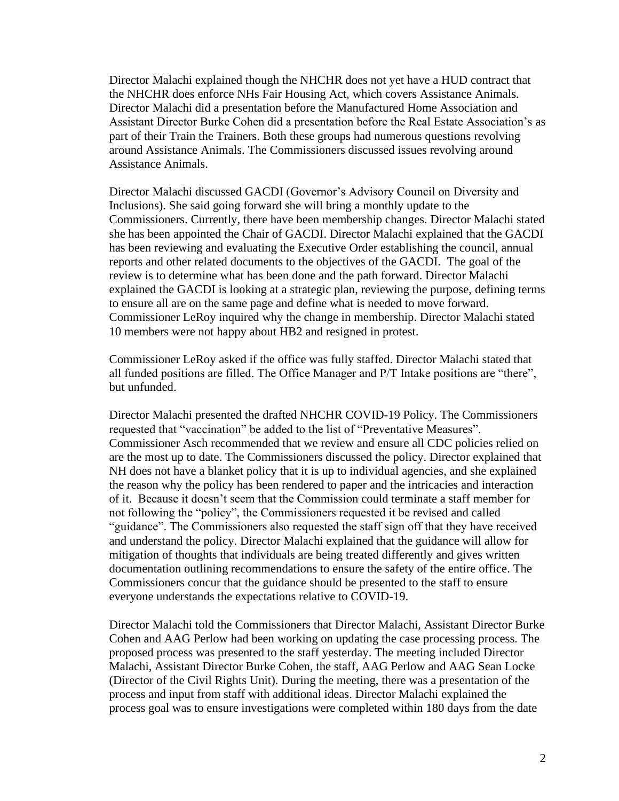Director Malachi explained though the NHCHR does not yet have a HUD contract that the NHCHR does enforce NHs Fair Housing Act, which covers Assistance Animals. Director Malachi did a presentation before the Manufactured Home Association and Assistant Director Burke Cohen did a presentation before the Real Estate Association's as part of their Train the Trainers. Both these groups had numerous questions revolving around Assistance Animals. The Commissioners discussed issues revolving around Assistance Animals.

Director Malachi discussed GACDI (Governor's Advisory Council on Diversity and Inclusions). She said going forward she will bring a monthly update to the Commissioners. Currently, there have been membership changes. Director Malachi stated she has been appointed the Chair of GACDI. Director Malachi explained that the GACDI has been reviewing and evaluating the Executive Order establishing the council, annual reports and other related documents to the objectives of the GACDI. The goal of the review is to determine what has been done and the path forward. Director Malachi explained the GACDI is looking at a strategic plan, reviewing the purpose, defining terms to ensure all are on the same page and define what is needed to move forward. Commissioner LeRoy inquired why the change in membership. Director Malachi stated 10 members were not happy about HB2 and resigned in protest.

Commissioner LeRoy asked if the office was fully staffed. Director Malachi stated that all funded positions are filled. The Office Manager and P/T Intake positions are "there", but unfunded.

Director Malachi presented the drafted NHCHR COVID-19 Policy. The Commissioners requested that "vaccination" be added to the list of "Preventative Measures". Commissioner Asch recommended that we review and ensure all CDC policies relied on are the most up to date. The Commissioners discussed the policy. Director explained that NH does not have a blanket policy that it is up to individual agencies, and she explained the reason why the policy has been rendered to paper and the intricacies and interaction of it. Because it doesn't seem that the Commission could terminate a staff member for not following the "policy", the Commissioners requested it be revised and called "guidance". The Commissioners also requested the staff sign off that they have received and understand the policy. Director Malachi explained that the guidance will allow for mitigation of thoughts that individuals are being treated differently and gives written documentation outlining recommendations to ensure the safety of the entire office. The Commissioners concur that the guidance should be presented to the staff to ensure everyone understands the expectations relative to COVID-19.

Director Malachi told the Commissioners that Director Malachi, Assistant Director Burke Cohen and AAG Perlow had been working on updating the case processing process. The proposed process was presented to the staff yesterday. The meeting included Director Malachi, Assistant Director Burke Cohen, the staff, AAG Perlow and AAG Sean Locke (Director of the Civil Rights Unit). During the meeting, there was a presentation of the process and input from staff with additional ideas. Director Malachi explained the process goal was to ensure investigations were completed within 180 days from the date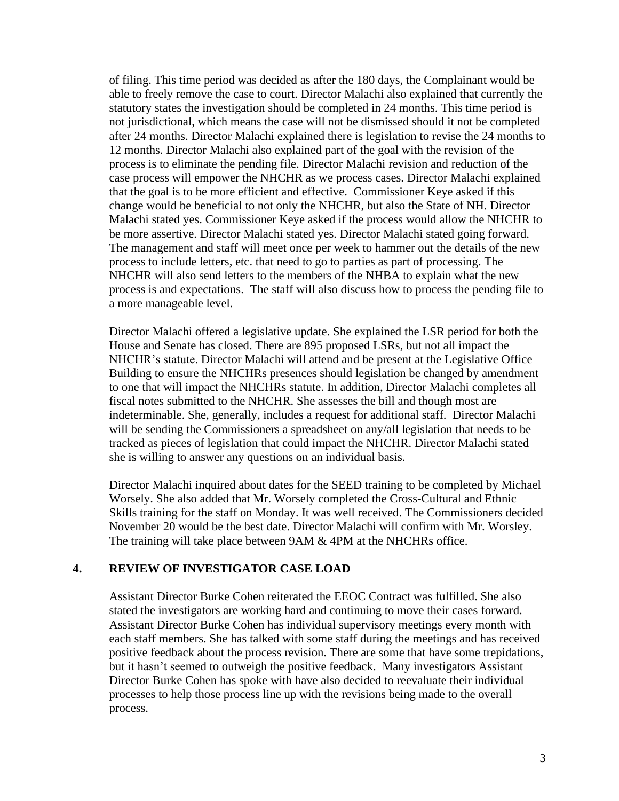of filing. This time period was decided as after the 180 days, the Complainant would be able to freely remove the case to court. Director Malachi also explained that currently the statutory states the investigation should be completed in 24 months. This time period is not jurisdictional, which means the case will not be dismissed should it not be completed after 24 months. Director Malachi explained there is legislation to revise the 24 months to 12 months. Director Malachi also explained part of the goal with the revision of the process is to eliminate the pending file. Director Malachi revision and reduction of the case process will empower the NHCHR as we process cases. Director Malachi explained that the goal is to be more efficient and effective. Commissioner Keye asked if this change would be beneficial to not only the NHCHR, but also the State of NH. Director Malachi stated yes. Commissioner Keye asked if the process would allow the NHCHR to be more assertive. Director Malachi stated yes. Director Malachi stated going forward. The management and staff will meet once per week to hammer out the details of the new process to include letters, etc. that need to go to parties as part of processing. The NHCHR will also send letters to the members of the NHBA to explain what the new process is and expectations. The staff will also discuss how to process the pending file to a more manageable level.

Director Malachi offered a legislative update. She explained the LSR period for both the House and Senate has closed. There are 895 proposed LSRs, but not all impact the NHCHR's statute. Director Malachi will attend and be present at the Legislative Office Building to ensure the NHCHRs presences should legislation be changed by amendment to one that will impact the NHCHRs statute. In addition, Director Malachi completes all fiscal notes submitted to the NHCHR. She assesses the bill and though most are indeterminable. She, generally, includes a request for additional staff. Director Malachi will be sending the Commissioners a spreadsheet on any/all legislation that needs to be tracked as pieces of legislation that could impact the NHCHR. Director Malachi stated she is willing to answer any questions on an individual basis.

Director Malachi inquired about dates for the SEED training to be completed by Michael Worsely. She also added that Mr. Worsely completed the Cross-Cultural and Ethnic Skills training for the staff on Monday. It was well received. The Commissioners decided November 20 would be the best date. Director Malachi will confirm with Mr. Worsley. The training will take place between 9AM & 4PM at the NHCHRs office.

## **4. REVIEW OF INVESTIGATOR CASE LOAD**

Assistant Director Burke Cohen reiterated the EEOC Contract was fulfilled. She also stated the investigators are working hard and continuing to move their cases forward. Assistant Director Burke Cohen has individual supervisory meetings every month with each staff members. She has talked with some staff during the meetings and has received positive feedback about the process revision. There are some that have some trepidations, but it hasn't seemed to outweigh the positive feedback. Many investigators Assistant Director Burke Cohen has spoke with have also decided to reevaluate their individual processes to help those process line up with the revisions being made to the overall process.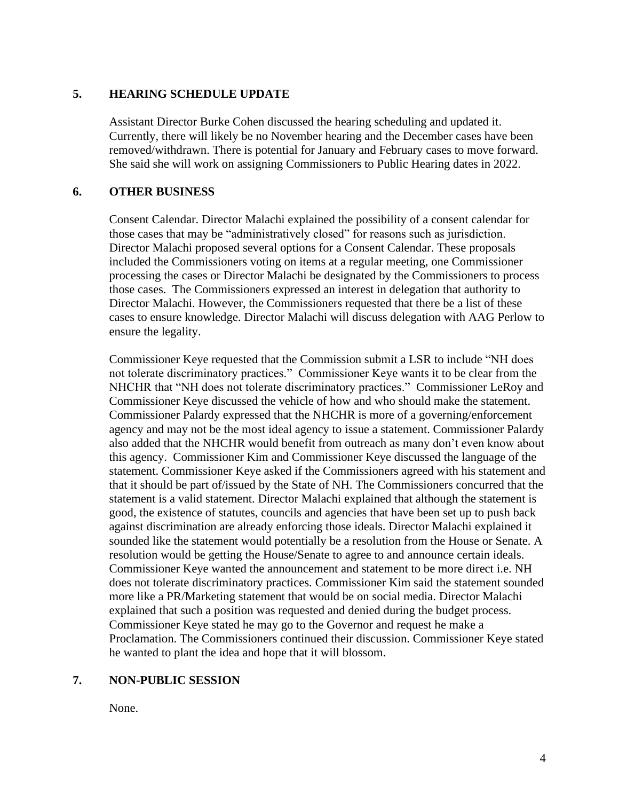#### **5. HEARING SCHEDULE UPDATE**

Assistant Director Burke Cohen discussed the hearing scheduling and updated it. Currently, there will likely be no November hearing and the December cases have been removed/withdrawn. There is potential for January and February cases to move forward. She said she will work on assigning Commissioners to Public Hearing dates in 2022.

#### **6. OTHER BUSINESS**

Consent Calendar. Director Malachi explained the possibility of a consent calendar for those cases that may be "administratively closed" for reasons such as jurisdiction. Director Malachi proposed several options for a Consent Calendar. These proposals included the Commissioners voting on items at a regular meeting, one Commissioner processing the cases or Director Malachi be designated by the Commissioners to process those cases. The Commissioners expressed an interest in delegation that authority to Director Malachi. However, the Commissioners requested that there be a list of these cases to ensure knowledge. Director Malachi will discuss delegation with AAG Perlow to ensure the legality.

Commissioner Keye requested that the Commission submit a LSR to include "NH does not tolerate discriminatory practices." Commissioner Keye wants it to be clear from the NHCHR that "NH does not tolerate discriminatory practices." Commissioner LeRoy and Commissioner Keye discussed the vehicle of how and who should make the statement. Commissioner Palardy expressed that the NHCHR is more of a governing/enforcement agency and may not be the most ideal agency to issue a statement. Commissioner Palardy also added that the NHCHR would benefit from outreach as many don't even know about this agency. Commissioner Kim and Commissioner Keye discussed the language of the statement. Commissioner Keye asked if the Commissioners agreed with his statement and that it should be part of/issued by the State of NH. The Commissioners concurred that the statement is a valid statement. Director Malachi explained that although the statement is good, the existence of statutes, councils and agencies that have been set up to push back against discrimination are already enforcing those ideals. Director Malachi explained it sounded like the statement would potentially be a resolution from the House or Senate. A resolution would be getting the House/Senate to agree to and announce certain ideals. Commissioner Keye wanted the announcement and statement to be more direct i.e. NH does not tolerate discriminatory practices. Commissioner Kim said the statement sounded more like a PR/Marketing statement that would be on social media. Director Malachi explained that such a position was requested and denied during the budget process. Commissioner Keye stated he may go to the Governor and request he make a Proclamation. The Commissioners continued their discussion. Commissioner Keye stated he wanted to plant the idea and hope that it will blossom.

## **7. NON-PUBLIC SESSION**

None.